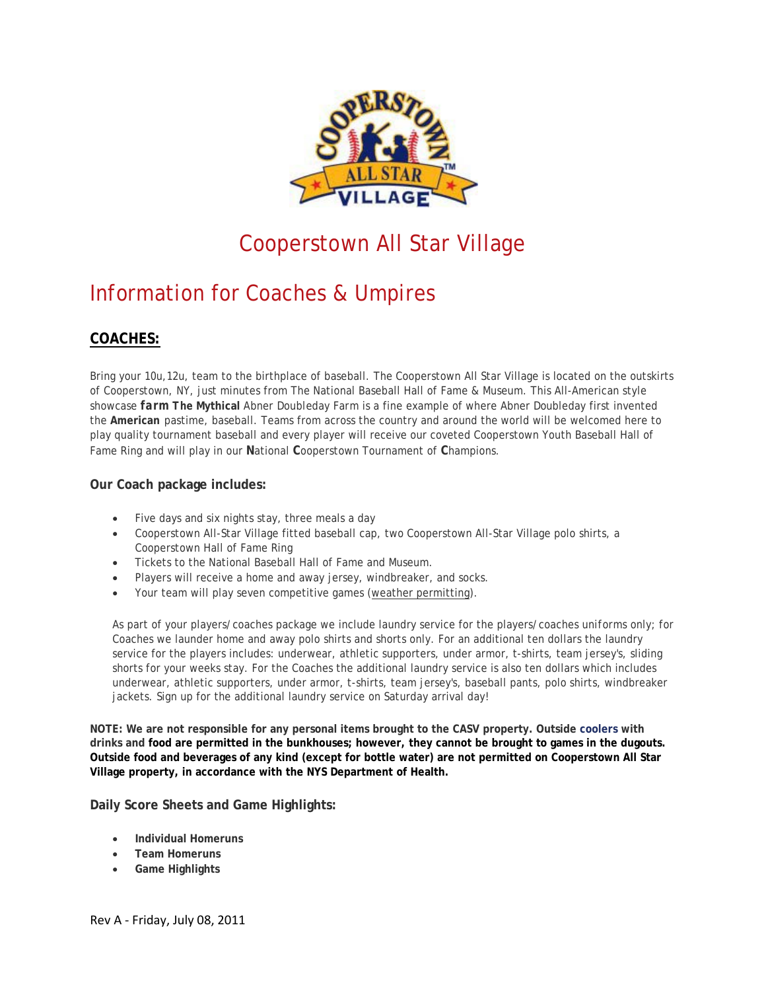

# Cooperstown All Star Village

# Information for Coaches & Umpires

## **COACHES:**

Bring your 10u,12u, team to the birthplace of baseball. The Cooperstown All Star Village is located on the outskirts of Cooperstown, NY, just minutes from The National Baseball Hall of Fame & Museum. This All-American style showcase *farm The* **Mythical** *Abner Doubleday Farm* is a fine example of where Abner Doubleday first invented the **American** pastime, baseball. Teams from across the country and around the world will be welcomed here to play quality tournament baseball and every player will receive our coveted Cooperstown Youth Baseball Hall of Fame Ring and will play in our **N**ational **C**ooperstown Tournament of **C**hampions.

### **Our Coach package includes:**

- Five days and six nights stay, three meals a day
- Cooperstown All-Star Village fitted baseball cap, two Cooperstown All-Star Village polo shirts, a Cooperstown Hall of Fame Ring
- Tickets to the National Baseball Hall of Fame and Museum.
- Players will receive a home and away jersey, windbreaker, and socks.
- Your team will play seven competitive games (weather permitting).

As part of your players/coaches package we include laundry service for the players/coaches *uniforms* only; for Coaches we launder home and away polo shirts and shorts only. For an additional ten dollars the laundry service for the players includes: underwear, athletic supporters, under armor, t-shirts, team jersey's, sliding shorts for your weeks stay. For the Coaches the additional laundry service is also ten dollars which includes underwear, athletic supporters, under armor, t-shirts, team jersey's, baseball pants, polo shirts, windbreaker jackets. Sign up for the additional laundry service on Saturday arrival day!

**NOTE: We are not responsible for any personal items brought to the CASV property. Outside [coolers](http://www.cooperstownallstarvillage.com/info-coaches.php) with drinks and food are permitted in the bunkhouses; however, they cannot be brought to games in the dugouts. Outside food and beverages of any kind (except for bottle water) are not permitted on Cooperstown All Star Village property, in accordance with the NYS Department of Health.** 

**Daily Score Sheets and Game Highlights:**

- **Individual Homeruns**
- **Team Homeruns**
- **Game Highlights**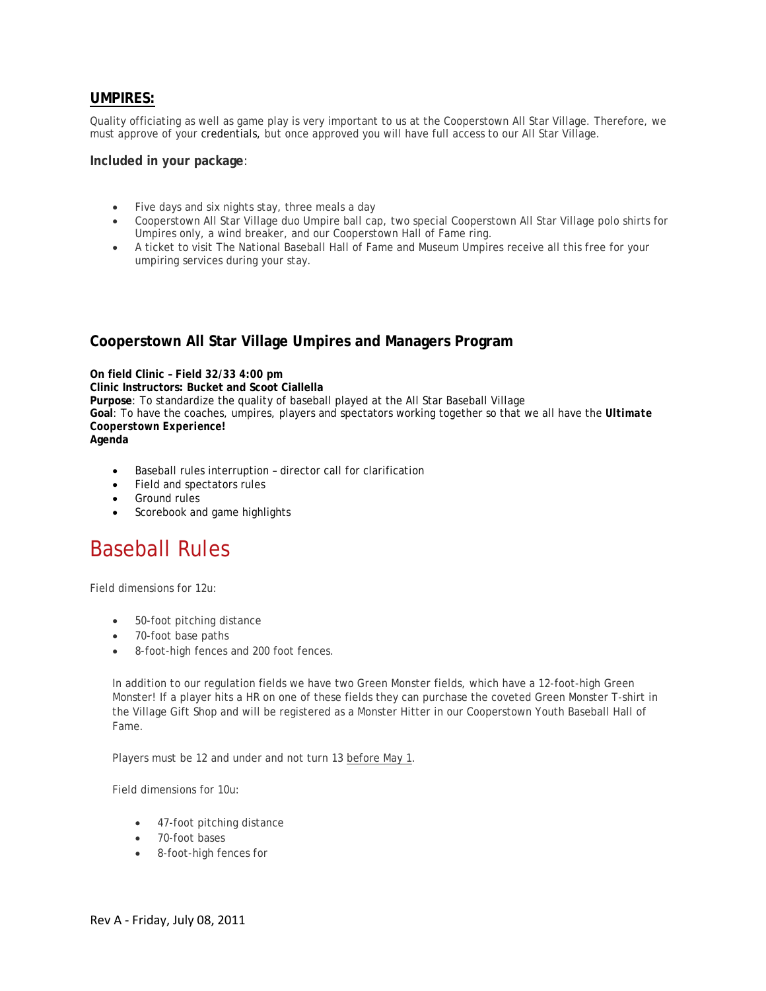## **UMPIRES:**

Quality officiating as well as game play is very important to us at the Cooperstown All Star Village. Therefore, we must approve of you[r credentials,](http://www.cooperstownallstarvillage.com/info-coaches.php) but once approved you will have full access to our All Star Village.

#### **Included in your package**:

- Five days and six nights stay, three meals a day
- Cooperstown All Star Village duo Umpire ball cap, two special Cooperstown All Star Village polo shirts for Umpires only, a wind breaker, and our Cooperstown Hall of Fame ring.
- A ticket to visit The National Baseball Hall of Fame and Museum Umpires receive all this free for your umpiring services during your stay.

## **Cooperstown All Star Village Umpires and Managers Program**

**On field Clinic – Field 32/33 4:00 pm Clinic Instructors: Bucket and Scoot Ciallella Purpose**: To standardize the quality of baseball played at the All Star Baseball Village **Goal**: To have the coaches, umpires, players and spectators working together so that we all have the *Ultimate Cooperstown Experience!* **Agenda**

- Baseball rules interruption director call for clarification
- Field and spectators rules
- Ground rules
- Scorebook and game highlights

## Baseball Rules

Field dimensions for 12u:

- 50-foot pitching distance
- 70-foot base paths
- 8-foot-high fences and 200 foot fences.

In addition to our regulation fields we have two Green Monster fields, which have a 12-foot-high Green Monster! If a player hits a HR on one of these fields they can purchase the coveted Green Monster T-shirt in the Village Gift Shop and will be registered as a Monster Hitter in our Cooperstown Youth Baseball Hall of Fame.

Players must be 12 and under and not turn 13 before May 1.

Field dimensions for 10u:

- 47-foot pitching distance
- 70-foot bases
- 8-foot-high fences for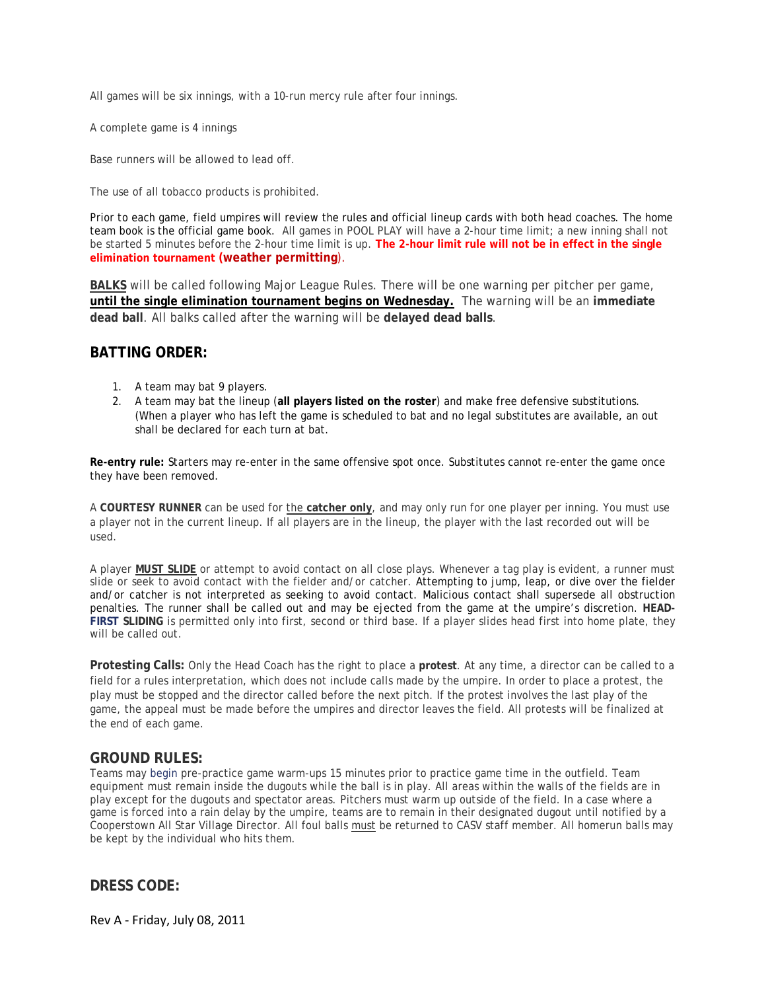All games will be six innings, with a 10-run mercy rule after four innings.

A complete game is 4 innings

Base runners will be allowed to lead off.

The use of all tobacco products is prohibited.

Prior to each game, field umpires will review the rules and official lineup cards with both head coaches. The home team book is the official game book. All games in POOL PLAY will have a 2-hour time limit; a new inning shall not be started 5 minutes before the 2-hour time limit is up. **The 2-hour limit rule will not be in effect in the single elimination tournament (weather permitting**).

**BALKS** will be called following Major League Rules. There will be one warning per pitcher per game, **until the single elimination tournament begins on Wednesday.** The warning will be an **immediate dead ball**. All balks called after the warning will be **delayed dead balls**.

### **BATTING ORDER:**

- 1. A team may bat 9 players.
- 2. A team may bat the lineup (**all players listed on the roster**) and make free defensive substitutions. (When a player who has left the game is scheduled to bat and no legal substitutes are available, an out shall be declared for each turn at bat.

**Re-entry rule:** [Starters](http://www.cooperstowndreamspark.com/coach.htm) may re-enter in the same offensive spot once. Substitutes cannot re-enter the game once they have been removed.

A **COURTESY RUNNER** can be used for the **catcher only**, and may only run for one player per inning. You must use a player not in the current lineup. If all players are in the lineup, the player with the last recorded out will be used.

A player **MUST SLIDE** or attempt to avoid contact on all close plays. Whenever a tag play is evident, a runner must **[FIRST](http://www.cooperstownallstarvillage.com/info-coaches_rules.php) SLIDING** is permitted only into first, second or third base. If a player slides head first into home plate, they slide or seek to avoid contact with the fielder and/or catcher. Attempting to jump, leap, or dive over the fielder and/or catcher is not interpreted as seeking to avoid contact. Malicious contact shall supersede all obstruction penalties. The runner shall be called out and may be ejected from the game at the umpire's discretion. **HEAD**will be called out.

**Protesting Calls:** Only the Head Coach has the right to place a **protest**. At any time, a director can be called to a field for a rules interpretation, which does not include calls made by the umpire. In order to place a protest, the play must be stopped and the director called before the next pitch. If the protest involves the last play of the game, the appeal must be made before the umpires and director leaves the field. All protests will be finalized at the end of each game.

### **GROUND RULES:**

Teams may [begin](http://www.cooperstownallstarvillage.com/info-coaches_rules.php) pre-practice game warm-ups 15 minutes prior to practice game time in the outfield. Team equipment must remain inside the dugouts while the ball is in play. All areas within the walls of the fields are in play except for the dugouts and spectator areas. Pitchers must warm up outside of the field. In a case where a game is forced into a rain delay by the umpire, teams are to remain in their designated dugout until notified by a Cooperstown All Star Village Director. All foul balls must be returned to CASV staff member. All homerun balls may be kept by the individual who hits them.

**DRESS CODE:**

Rev A - Friday, July 08, 2011